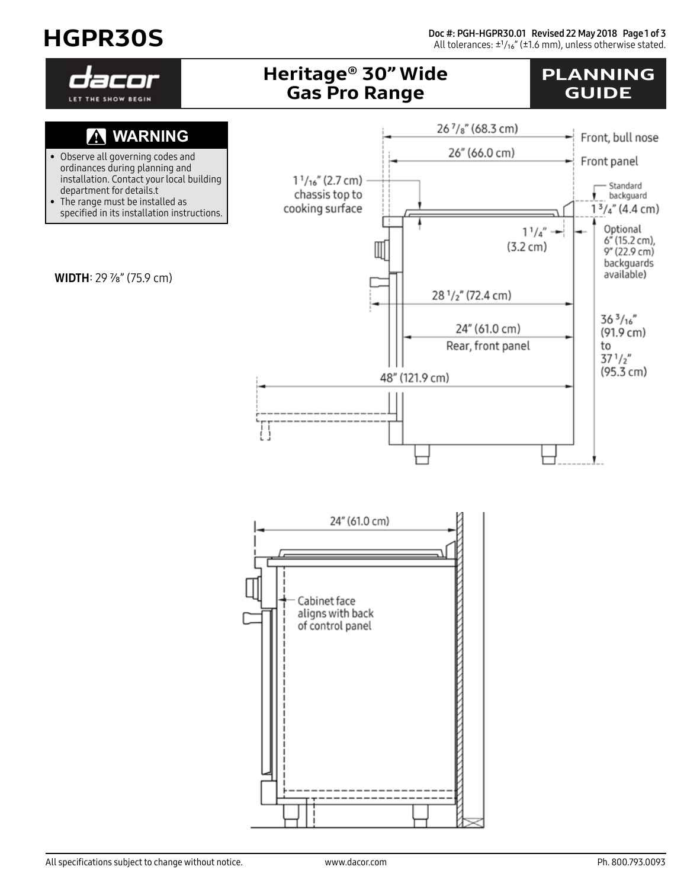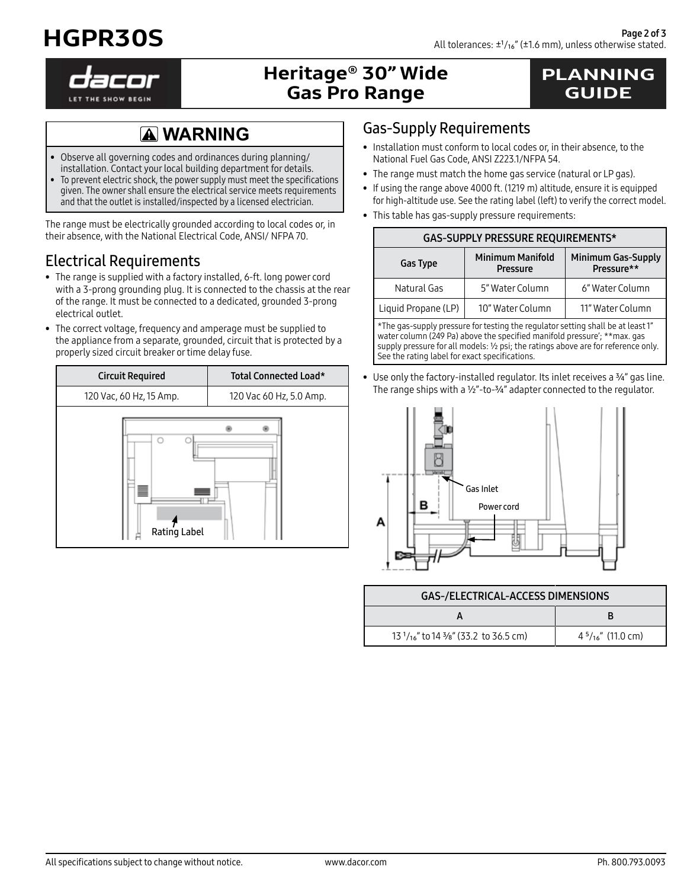



# Heritage® 30" Wide Gas Pro Range

### PLANNING GUIDE

# **WARNING**

- Observe all governing codes and ordinances during planning/ installation. Contact your local building department for details.
- To prevent electric shock, the power supply must meet the specifications given. The owner shall ensure the electrical service meets requirements and that the outlet is installed/inspected by a licensed electrician.

The range must be electrically grounded according to local codes or, in their absence, with the National Electrical Code, ANSI/ NFPA 70.

#### Electrical Requirements

- The range is supplied with a factory installed, 6-ft. long power cord with a 3-prong grounding plug. It is connected to the chassis at the rear of the range. It must be connected to a dedicated, grounded 3-prong electrical outlet.
- The correct voltage, frequency and amperage must be supplied to the appliance from a separate, grounded, circuit that is protected by a properly sized circuit breaker or time delay fuse.

| <b>Circuit Required</b> | Total Connected Load*   |  |
|-------------------------|-------------------------|--|
| 120 Vac, 60 Hz, 15 Amp. | 120 Vac 60 Hz, 5.0 Amp. |  |
| Rating Label            |                         |  |

#### Gas-Supply Requirements

- Installation must conform to local codes or, in their absence, to the National Fuel Gas Code, ANSI Z223.1/NFPA 54.
- The range must match the home gas service (natural or LP gas).
- If using the range above 4000 ft. (1219 m) altitude, ensure it is equipped for high-altitude use. See the rating label (left) to verify the correct model.
- This table has gas-supply pressure requirements:

| <b>GAS-SUPPLY PRESSURE REQUIREMENTS*</b> |                                            |                                         |  |  |
|------------------------------------------|--------------------------------------------|-----------------------------------------|--|--|
| <b>Gas Type</b>                          | <b>Minimum Manifold</b><br><b>Pressure</b> | <b>Minimum Gas-Supply</b><br>Pressure** |  |  |
| Natural Gas                              | 5" Water Column                            | 6" Water Column                         |  |  |
| Liquid Propane (LP)                      | 10" Water Column                           | 11" Water Column                        |  |  |

\*The gas-supply pressure for testing the regulator setting shall be at least 1" water column (249 Pa) above the specified manifold pressure'; \*\*max. gas supply pressure for all models: 1/2 psi; the ratings above are for reference only. See the rating label for exact specifications.

• Use only the factory-installed regulator. Its inlet receives a 3/4" gas line. The range ships with a  $1/2$ "-to- $3/4$ " adapter connected to the regulator.



| GAS-/ELECTRICAL-ACCESS DIMENSIONS                    |                             |  |
|------------------------------------------------------|-----------------------------|--|
|                                                      |                             |  |
| $131/16$ " to 14 3/ <sub>8</sub> " (33.2 to 36.5 cm) | $4\frac{5}{16}$ " (11.0 cm) |  |